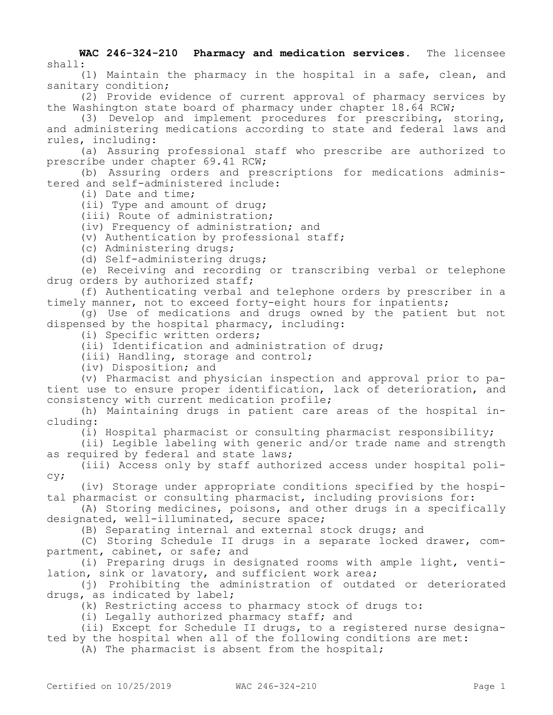**WAC 246-324-210 Pharmacy and medication services.** The licensee shall:

(1) Maintain the pharmacy in the hospital in a safe, clean, and sanitary condition;

(2) Provide evidence of current approval of pharmacy services by the Washington state board of pharmacy under chapter 18.64 RCW;

(3) Develop and implement procedures for prescribing, storing, and administering medications according to state and federal laws and rules, including:

(a) Assuring professional staff who prescribe are authorized to prescribe under chapter 69.41 RCW;

(b) Assuring orders and prescriptions for medications administered and self-administered include:

(i) Date and time;

(ii) Type and amount of drug;

(iii) Route of administration;

(iv) Frequency of administration; and

(v) Authentication by professional staff;

(c) Administering drugs;

(d) Self-administering drugs;

(e) Receiving and recording or transcribing verbal or telephone drug orders by authorized staff;

(f) Authenticating verbal and telephone orders by prescriber in a timely manner, not to exceed forty-eight hours for inpatients;

(g) Use of medications and drugs owned by the patient but not dispensed by the hospital pharmacy, including:

(i) Specific written orders;

(ii) Identification and administration of drug;

(iii) Handling, storage and control;

(iv) Disposition; and

(v) Pharmacist and physician inspection and approval prior to patient use to ensure proper identification, lack of deterioration, and consistency with current medication profile;

(h) Maintaining drugs in patient care areas of the hospital including:

(i) Hospital pharmacist or consulting pharmacist responsibility;

(ii) Legible labeling with generic and/or trade name and strength as required by federal and state laws;

(iii) Access only by staff authorized access under hospital policy;

(iv) Storage under appropriate conditions specified by the hospital pharmacist or consulting pharmacist, including provisions for:

(A) Storing medicines, poisons, and other drugs in a specifically designated, well-illuminated, secure space;

(B) Separating internal and external stock drugs; and

(C) Storing Schedule II drugs in a separate locked drawer, compartment, cabinet, or safe; and

(i) Preparing drugs in designated rooms with ample light, ventilation, sink or lavatory, and sufficient work area;

(j) Prohibiting the administration of outdated or deteriorated drugs, as indicated by label;

(k) Restricting access to pharmacy stock of drugs to:

(i) Legally authorized pharmacy staff; and

(ii) Except for Schedule II drugs, to a registered nurse designated by the hospital when all of the following conditions are met:

(A) The pharmacist is absent from the hospital;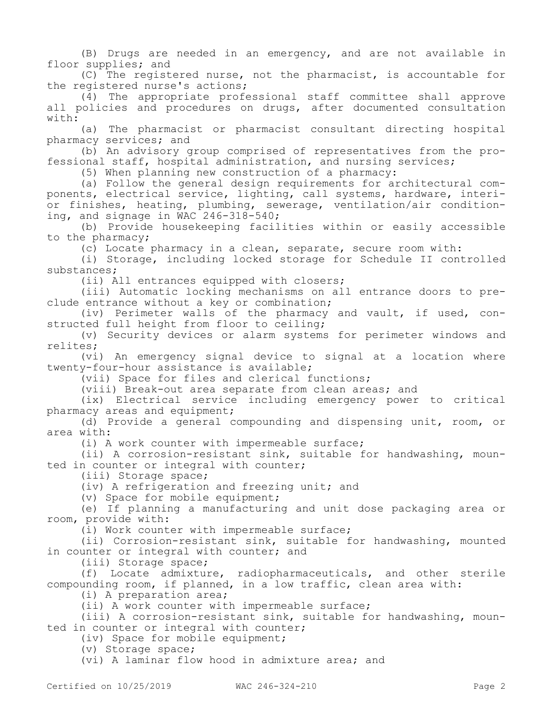(B) Drugs are needed in an emergency, and are not available in floor supplies; and

(C) The registered nurse, not the pharmacist, is accountable for the registered nurse's actions;

(4) The appropriate professional staff committee shall approve all policies and procedures on drugs, after documented consultation with:

(a) The pharmacist or pharmacist consultant directing hospital pharmacy services; and

(b) An advisory group comprised of representatives from the professional staff, hospital administration, and nursing services;

(5) When planning new construction of a pharmacy:

(a) Follow the general design requirements for architectural components, electrical service, lighting, call systems, hardware, interior finishes, heating, plumbing, sewerage, ventilation/air conditioning, and signage in WAC 246-318-540;

(b) Provide housekeeping facilities within or easily accessible to the pharmacy;

(c) Locate pharmacy in a clean, separate, secure room with:

(i) Storage, including locked storage for Schedule II controlled substances;

(ii) All entrances equipped with closers;

(iii) Automatic locking mechanisms on all entrance doors to preclude entrance without a key or combination;

(iv) Perimeter walls of the pharmacy and vault, if used, constructed full height from floor to ceiling;

(v) Security devices or alarm systems for perimeter windows and relites;

(vi) An emergency signal device to signal at a location where twenty-four-hour assistance is available;

(vii) Space for files and clerical functions;

(viii) Break-out area separate from clean areas; and

(ix) Electrical service including emergency power to critical pharmacy areas and equipment;

(d) Provide a general compounding and dispensing unit, room, or area with:

(i) A work counter with impermeable surface;

(ii) A corrosion-resistant sink, suitable for handwashing, mounted in counter or integral with counter;

(iii) Storage space;

(iv) A refrigeration and freezing unit; and

(v) Space for mobile equipment;

(e) If planning a manufacturing and unit dose packaging area or room, provide with:

(i) Work counter with impermeable surface;

(ii) Corrosion-resistant sink, suitable for handwashing, mounted in counter or integral with counter; and

(iii) Storage space;

(f) Locate admixture, radiopharmaceuticals, and other sterile compounding room, if planned, in a low traffic, clean area with:

(i) A preparation area;

(ii) A work counter with impermeable surface;

(iii) A corrosion-resistant sink, suitable for handwashing, mounted in counter or integral with counter;

(iv) Space for mobile equipment;

(v) Storage space;

(vi) A laminar flow hood in admixture area; and